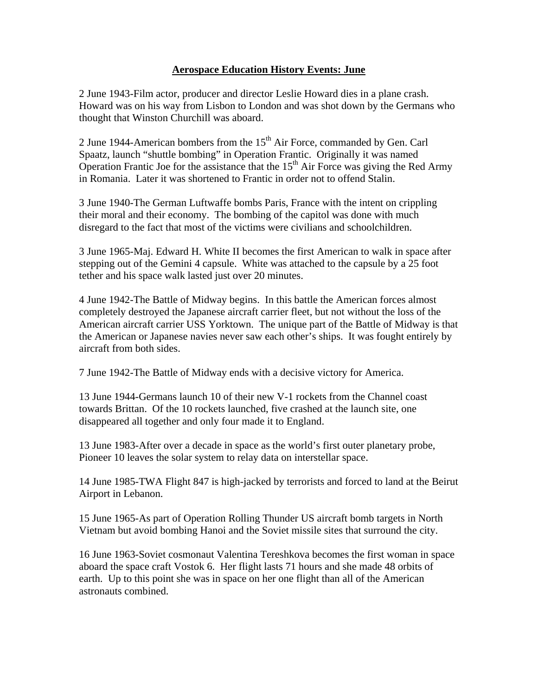## **Aerospace Education History Events: June**

2 June 1943-Film actor, producer and director Leslie Howard dies in a plane crash. Howard was on his way from Lisbon to London and was shot down by the Germans who thought that Winston Churchill was aboard.

2 June 1944-American bombers from the  $15<sup>th</sup>$  Air Force, commanded by Gen. Carl Spaatz, launch "shuttle bombing" in Operation Frantic. Originally it was named Operation Frantic Joe for the assistance that the  $15<sup>th</sup>$  Air Force was giving the Red Army in Romania. Later it was shortened to Frantic in order not to offend Stalin.

3 June 1940-The German Luftwaffe bombs Paris, France with the intent on crippling their moral and their economy. The bombing of the capitol was done with much disregard to the fact that most of the victims were civilians and schoolchildren.

3 June 1965-Maj. Edward H. White II becomes the first American to walk in space after stepping out of the Gemini 4 capsule. White was attached to the capsule by a 25 foot tether and his space walk lasted just over 20 minutes.

4 June 1942-The Battle of Midway begins. In this battle the American forces almost completely destroyed the Japanese aircraft carrier fleet, but not without the loss of the American aircraft carrier USS Yorktown. The unique part of the Battle of Midway is that the American or Japanese navies never saw each other's ships. It was fought entirely by aircraft from both sides.

7 June 1942-The Battle of Midway ends with a decisive victory for America.

13 June 1944-Germans launch 10 of their new V-1 rockets from the Channel coast towards Brittan. Of the 10 rockets launched, five crashed at the launch site, one disappeared all together and only four made it to England.

13 June 1983-After over a decade in space as the world's first outer planetary probe, Pioneer 10 leaves the solar system to relay data on interstellar space.

14 June 1985-TWA Flight 847 is high-jacked by terrorists and forced to land at the Beirut Airport in Lebanon.

15 June 1965-As part of Operation Rolling Thunder US aircraft bomb targets in North Vietnam but avoid bombing Hanoi and the Soviet missile sites that surround the city.

16 June 1963-Soviet cosmonaut Valentina Tereshkova becomes the first woman in space aboard the space craft Vostok 6. Her flight lasts 71 hours and she made 48 orbits of earth. Up to this point she was in space on her one flight than all of the American astronauts combined.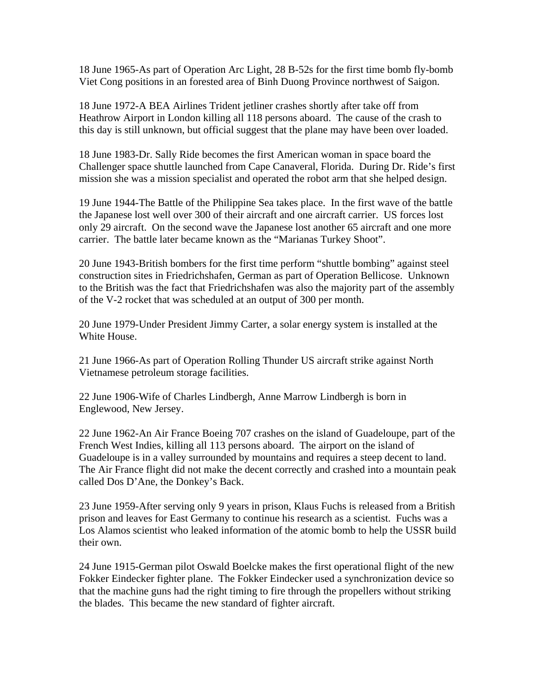18 June 1965-As part of Operation Arc Light, 28 B-52s for the first time bomb fly-bomb Viet Cong positions in an forested area of Binh Duong Province northwest of Saigon.

18 June 1972-A BEA Airlines Trident jetliner crashes shortly after take off from Heathrow Airport in London killing all 118 persons aboard. The cause of the crash to this day is still unknown, but official suggest that the plane may have been over loaded.

18 June 1983-Dr. Sally Ride becomes the first American woman in space board the Challenger space shuttle launched from Cape Canaveral, Florida. During Dr. Ride's first mission she was a mission specialist and operated the robot arm that she helped design.

19 June 1944-The Battle of the Philippine Sea takes place. In the first wave of the battle the Japanese lost well over 300 of their aircraft and one aircraft carrier. US forces lost only 29 aircraft. On the second wave the Japanese lost another 65 aircraft and one more carrier. The battle later became known as the "Marianas Turkey Shoot".

20 June 1943-British bombers for the first time perform "shuttle bombing" against steel construction sites in Friedrichshafen, German as part of Operation Bellicose. Unknown to the British was the fact that Friedrichshafen was also the majority part of the assembly of the V-2 rocket that was scheduled at an output of 300 per month.

20 June 1979-Under President Jimmy Carter, a solar energy system is installed at the White House.

21 June 1966-As part of Operation Rolling Thunder US aircraft strike against North Vietnamese petroleum storage facilities.

22 June 1906-Wife of Charles Lindbergh, Anne Marrow Lindbergh is born in Englewood, New Jersey.

22 June 1962-An Air France Boeing 707 crashes on the island of Guadeloupe, part of the French West Indies, killing all 113 persons aboard. The airport on the island of Guadeloupe is in a valley surrounded by mountains and requires a steep decent to land. The Air France flight did not make the decent correctly and crashed into a mountain peak called Dos D'Ane, the Donkey's Back.

23 June 1959-After serving only 9 years in prison, Klaus Fuchs is released from a British prison and leaves for East Germany to continue his research as a scientist. Fuchs was a Los Alamos scientist who leaked information of the atomic bomb to help the USSR build their own.

24 June 1915-German pilot Oswald Boelcke makes the first operational flight of the new Fokker Eindecker fighter plane. The Fokker Eindecker used a synchronization device so that the machine guns had the right timing to fire through the propellers without striking the blades. This became the new standard of fighter aircraft.